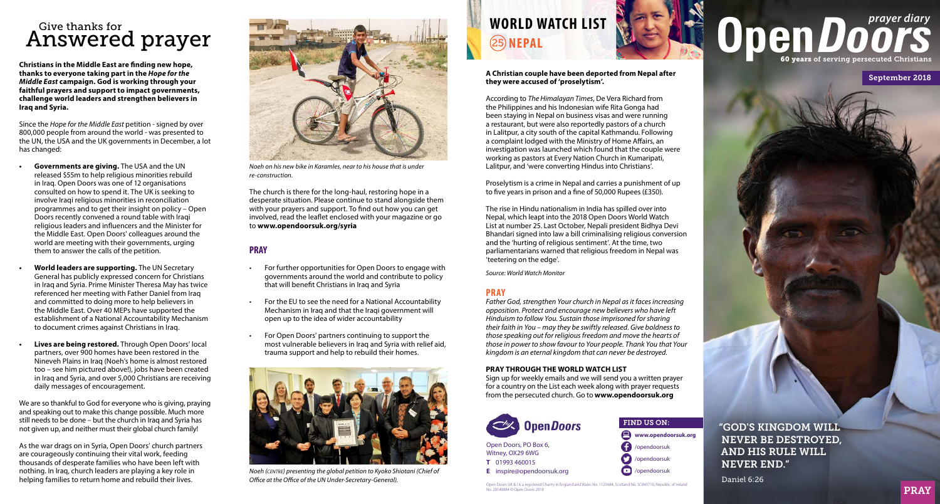## Answered prayer Give thanks for

**Christians in the Middle East are finding new hope, thanks to everyone taking part in the** *Hope for the Middle East* **campaign. God is working through your faithful prayers and support to impact governments, challenge world leaders and strengthen believers in Iraq and Syria.**

Since the *Hope for the Middle East* petition - signed by over 800,000 people from around the world - was presented to the UN, the USA and the UK governments in December, a lot has changed:

- **• Governments are giving.** The USA and the UN released \$55m to help religious minorities rebuild in Iraq. Open Doors was one of 12 organisations consulted on how to spend it. The UK is seeking to involve Iraqi religious minorities in reconciliation programmes and to get their insight on policy – Open Doors recently convened a round table with Iraqi religious leaders and influencers and the Minister for the Middle East. Open Doors' colleagues around the world are meeting with their governments, urging them to answer the calls of the petition.
- **• World leaders are supporting.** The UN Secretary General has publicly expressed concern for Christians in Iraq and Syria. Prime Minister Theresa May has twice referenced her meeting with Father Daniel from Iraq and committed to doing more to help believers in the Middle East. Over 40 MEPs have supported the establishment of a National Accountability Mechanism to document crimes against Christians in Iraq.
- **• Lives are being restored.** Through Open Doors' local partners, over 900 homes have been restored in the Nineveh Plains in Iraq (Noeh's home is almost restored too – see him pictured above!), jobs have been created in Iraq and Syria, and over 5,000 Christians are receiving daily messages of encouragement.

We are so thankful to God for everyone who is giving, praying and speaking out to make this change possible. Much more still needs to be done – but the church in Iraq and Syria has not given up, and neither must their global church family!

As the war drags on in Syria, Open Doors' church partners are courageously continuing their vital work, feeding thousands of desperate families who have been left with nothing. In Iraq, church leaders are playing a key role in helping families to return home and rebuild their lives.



*Noeh on his new bike in Karamles, near to his house that is under re-construction.*

The church is there for the long-haul, restoring hope in a desperate situation. Please continue to stand alongside them with your prayers and support. To find out how you can get involved, read the leaflet enclosed with your magazine or go to **www.opendoorsuk.org/syria** 

#### **PRAY**

- For further opportunities for Open Doors to engage with governments around the world and contribute to policy that will benefit Christians in Iraq and Syria
- For the EU to see the need for a National Accountability Mechanism in Iraq and that the Iraqi government will open up to the idea of wider accountability
- For Open Doors' partners continuing to support the most vulnerable believers in Iraq and Syria with relief aid, trauma support and help to rebuild their homes.



*Noeh (centre) presenting the global petition to Kyoko Shiotani (Chief of Office at the Office of the UN Under-Secretary-General).*

## **WORLD WATCH LIST** 25 **NEPAL**

**A Christian couple have been deported from Nepal after they were accused of 'proselytism'.**

According to *The Himalayan Times*, De Vera Richard from the Philippines and his Indonesian wife Rita Gonga had been staying in Nepal on business visas and were running a restaurant, but were also reportedly pastors of a church in Lalitpur, a city south of the capital Kathmandu. Following a complaint lodged with the Ministry of Home Affairs, an investigation was launched which found that the couple were working as pastors at Every Nation Church in Kumaripati, Lalitpur, and 'were converting Hindus into Christians'.

Proselytism is a crime in Nepal and carries a punishment of up to five years in prison and a fine of 50,000 Rupees (£350).

The rise in Hindu nationalism in India has spilled over into Nepal, which leapt into the 2018 Open Doors World Watch List at number 25. Last October, Nepali president Bidhya Devi Bhandari signed into law a bill criminalising religious conversion and the 'hurting of religious sentiment'. At the time, two parliamentarians warned that religious freedom in Nepal was 'teetering on the edge'.

*Source: World Watch Monitor*

### **PRAY**

*Father God, strengthen Your church in Nepal as it faces increasing opposition. Protect and encourage new believers who have left Hinduism to follow You. Sustain those imprisoned for sharing their faith in You – may they be swiftly released. Give boldness to those speaking out for religious freedom and move the hearts of those in power to show favour to Your people. Thank You that Your kingdom is an eternal kingdom that can never be destroyed.*

#### **PRAY THROUGH THE WORLD WATCH LIST**

Sign up for weekly emails and we will send you a written prayer for a country on the List each week along with prayer requests from the persecuted church. Go to **www.opendoorsuk.org**

FIND US ON:

/opendoorsuk /opendoorsuk /opendoorsuk

Ω റ

**www.opendoorsuk.org**



Open Doors, PO Box 6, Witney, OX29 6WG **T** 01993 460015 **E** inspire@opendoorsuk.org

Open Doors UK & I is a registered Charity in England and Wales No. 1125684, Scotland No. SC043710, Republic of Ireland No. 20140984 © Open Doors 2018

# **Open DOO**

September 2018



Daniel 6:26